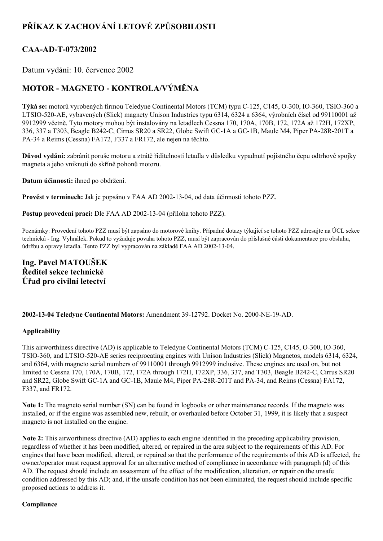# **PŘÍKAZ K ZACHOVÁNÍ LETOVÉ ZPŮSOBILOSTI**

### CAA-AD-T-073/2002

Datum vydání: 10. července 2002

## **MOTOR MAGNETO KONTROLA/VÝMĚNA**

**Týká se:** motorů vyrobených firmou Teledyne Continental Motors (TCM) typu C-125, C145, O-300, IO-360, TSIO-360 a LTSIO-520-AE, vybavených (Slick) magnety Unison Industries typu 6314, 6324 a 6364, výrobních čísel od 99110001 až 9912999 včetně. Tyto motory mohou být instalovány na letadlech Cessna 170, 170A, 170B, 172, 172A až 172H, 172XP, 336, 337 a T303, Beagle B242-C, Cirrus SR20 a SR22, Globe Swift GC-1A a GC-1B, Maule M4, Piper PA-28R-201T a PA34 a Reims (Cessna) FA172, F337 a FR172, ale nejen na těchto.

**Důvod vydání:** zabránit poruše motoru a ztrátě řiditelnosti letadla v důsledku vypadnutí pojistného čepu odtrhové spojky magneta a jeho vniknutí do skříně pohonů motoru.

**Datum účinnosti:** ihned po obdržení.

**Provést v termínech:** Jak je popsáno v FAA AD 2002-13-04, od data účinnosti tohoto PZZ.

**Postup provedení prací:** Dle FAA AD 2002-13-04 (příloha tohoto PZZ).

Poznámky: Provedení tohoto PZZ musí být zapsáno do motorové knihy. Případné dotazy týkající se tohoto PZZ adresujte na ÚCL sekce technická Ing. Vyhnálek. Pokud to vyžaduje povaha tohoto PZZ, musí být zapracován do příslušné části dokumentace pro obsluhu, údržbu a opravy letadla. Tento PZZ byl vypracován na základě FAA AD 2002-13-04.

### **Ing. Pavel MATOUŠEK Ředitel sekce technické Úřad pro civilní letectví**

**2002-13-04 Teledyne Continental Motors:** Amendment 39-12792. Docket No. 2000-NE-19-AD.

#### **Applicability**

This airworthiness directive (AD) is applicable to Teledyne Continental Motors (TCM) C-125, C145, O-300, IO-360, TSIO-360, and LTSIO-520-AE series reciprocating engines with Unison Industries (Slick) Magnetos, models 6314, 6324, and 6364, with magneto serial numbers of 99110001 through 9912999 inclusive. These engines are used on, but not limited to Cessna 170, 170A, 170B, 172, 172A through 172H, 172XP, 336, 337, and T303, Beagle B242C, Cirrus SR20 and SR22, Globe Swift GC-1A and GC-1B, Maule M4, Piper PA-28R-201T and PA-34, and Reims (Cessna) FA172, F337, and FR172.

**Note 1:** The magneto serial number (SN) can be found in logbooks or other maintenance records. If the magneto was installed, or if the engine was assembled new, rebuilt, or overhauled before October 31, 1999, it is likely that a suspect magneto is not installed on the engine.

**Note 2:** This airworthiness directive (AD) applies to each engine identified in the preceding applicability provision, regardless of whether it has been modified, altered, or repaired in the area subject to the requirements of this AD. For engines that have been modified, altered, or repaired so that the performance of the requirements of this AD is affected, the owner/operator must request approval for an alternative method of compliance in accordance with paragraph (d) of this AD. The request should include an assessment of the effect of the modification, alteration, or repair on the unsafe condition addressed by this AD; and, if the unsafe condition has not been eliminated, the request should include specific proposed actions to address it.

#### **Compliance**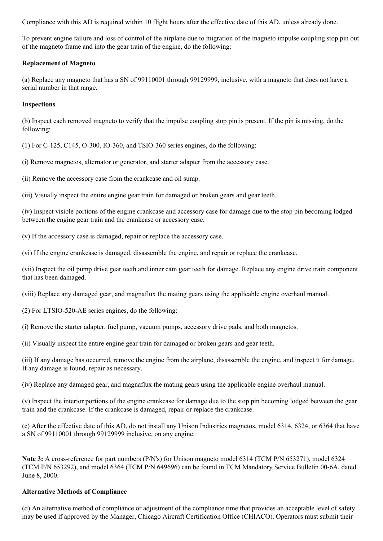Compliance with this AD is required within 10 flight hours after the effective date of this AD, unless already done.

To prevent engine failure and loss of control of the airplane due to migration of the magneto impulse coupling stop pin out of the magneto frame and into the gear train of the engine, do the following:

#### **Replacement of Magneto**

(a) Replace any magneto that has a SN of 99110001 through 99129999, inclusive, with a magneto that does not have a serial number in that range.

#### **Inspections**

(b) Inspect each removed magneto to verify that the impulse coupling stop pin is present. If the pin is missing, do the following:

 $(1)$  For C-125, C145, O-300, IO-360, and TSIO-360 series engines, do the following:

(i) Remove magnetos, alternator or generator, and starter adapter from the accessory case.

(ii) Remove the accessory case from the crankcase and oil sump.

(iii) Visually inspect the entire engine gear train for damaged or broken gears and gear teeth.

(iv) Inspect visible portions of the engine crankcase and accessory case for damage due to the stop pin becoming lodged between the engine gear train and the crankcase or accessory case.

(v) If the accessory case is damaged, repair or replace the accessory case.

(vi) If the engine crankcase is damaged, disassemble the engine, and repair or replace the crankcase.

(vii) Inspect the oil pump drive gear teeth and inner cam gear teeth for damage. Replace any engine drive train component that has been damaged.

(viii) Replace any damaged gear, and magnaflux the mating gears using the applicable engine overhaul manual.

 $(2)$  For LTSIO-520-AE series engines, do the following:

(i) Remove the starter adapter, fuel pump, vacuum pumps, accessory drive pads, and both magnetos.

(ii) Visually inspect the entire engine gear train for damaged or broken gears and gear teeth.

(iii) If any damage has occurred, remove the engine from the airplane, disassemble the engine, and inspect it for damage. If any damage is found, repair as necessary.

(iv) Replace any damaged gear, and magnaflux the mating gears using the applicable engine overhaul manual.

(v) Inspect the interior portions of the engine crankcase for damage due to the stop pin becoming lodged between the gear train and the crankcase. If the crankcase is damaged, repair or replace the crankcase.

(c) After the effective date of this AD, do not install any Unison Industries magnetos, model 6314, 6324, or 6364 that have a SN of 99110001 through 99129999 inclusive, on any engine.

**Note 3:** A cross-reference for part numbers (P/N's) for Unison magneto model 6314 (TCM P/N 653271), model 6324 (TCM P/N 653292), and model 6364 (TCM P/N 649696) can be found in TCM Mandatory Service Bulletin 006A, dated June 8, 2000.

#### **Alternative Methods of Compliance**

(d) An alternative method of compliance or adjustment of the compliance time that provides an acceptable level of safety may be used if approved by the Manager, Chicago Aircraft Certification Office (CHIACO). Operators must submit their